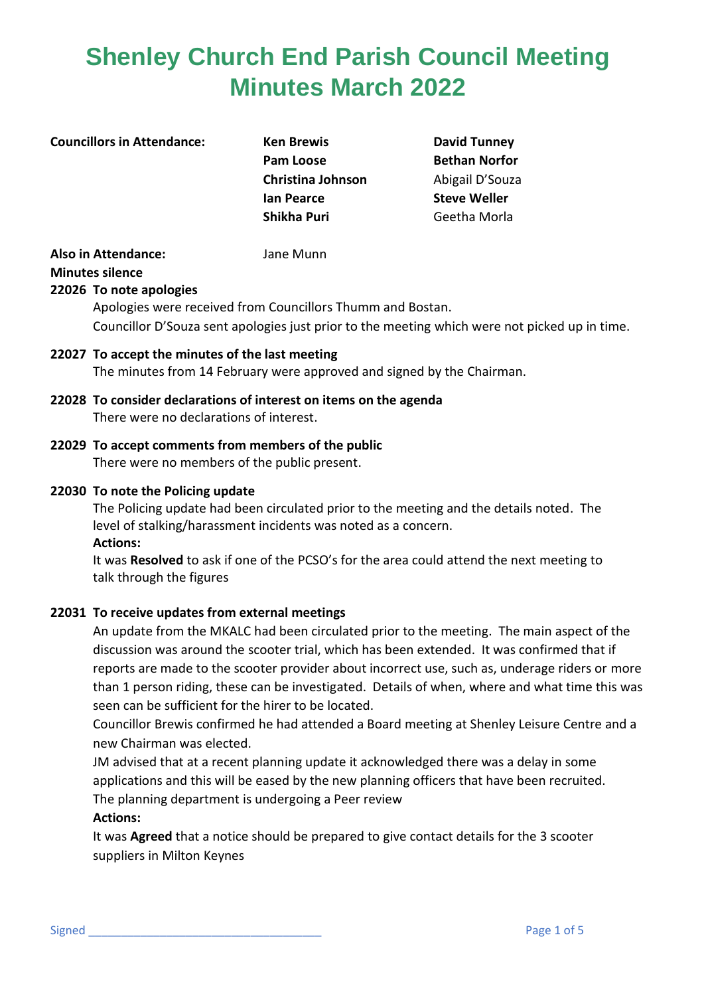#### **Councillors in Attendance: Ken Brewis David Tunney**

**Pam Loose Bethan Norfor Christina Johnson Abigail D'Souza Ian Pearce Steve Weller Shikha Puri** Geetha Morla

# **Also in Attendance:** Jane Munn

**Minutes silence**

**22026 To note apologies** 

Apologies were received from Councillors Thumm and Bostan. Councillor D'Souza sent apologies just prior to the meeting which were not picked up in time.

- **22027 To accept the minutes of the last meeting** The minutes from 14 February were approved and signed by the Chairman.
- **22028 To consider declarations of interest on items on the agenda** There were no declarations of interest.
- **22029 To accept comments from members of the public** There were no members of the public present.

# **22030 To note the Policing update**

The Policing update had been circulated prior to the meeting and the details noted. The level of stalking/harassment incidents was noted as a concern. **Actions:**

It was **Resolved** to ask if one of the PCSO's for the area could attend the next meeting to talk through the figures

# **22031 To receive updates from external meetings**

An update from the MKALC had been circulated prior to the meeting. The main aspect of the discussion was around the scooter trial, which has been extended. It was confirmed that if reports are made to the scooter provider about incorrect use, such as, underage riders or more than 1 person riding, these can be investigated. Details of when, where and what time this was seen can be sufficient for the hirer to be located.

Councillor Brewis confirmed he had attended a Board meeting at Shenley Leisure Centre and a new Chairman was elected.

JM advised that at a recent planning update it acknowledged there was a delay in some applications and this will be eased by the new planning officers that have been recruited. The planning department is undergoing a Peer review

# **Actions:**

It was **Agreed** that a notice should be prepared to give contact details for the 3 scooter suppliers in Milton Keynes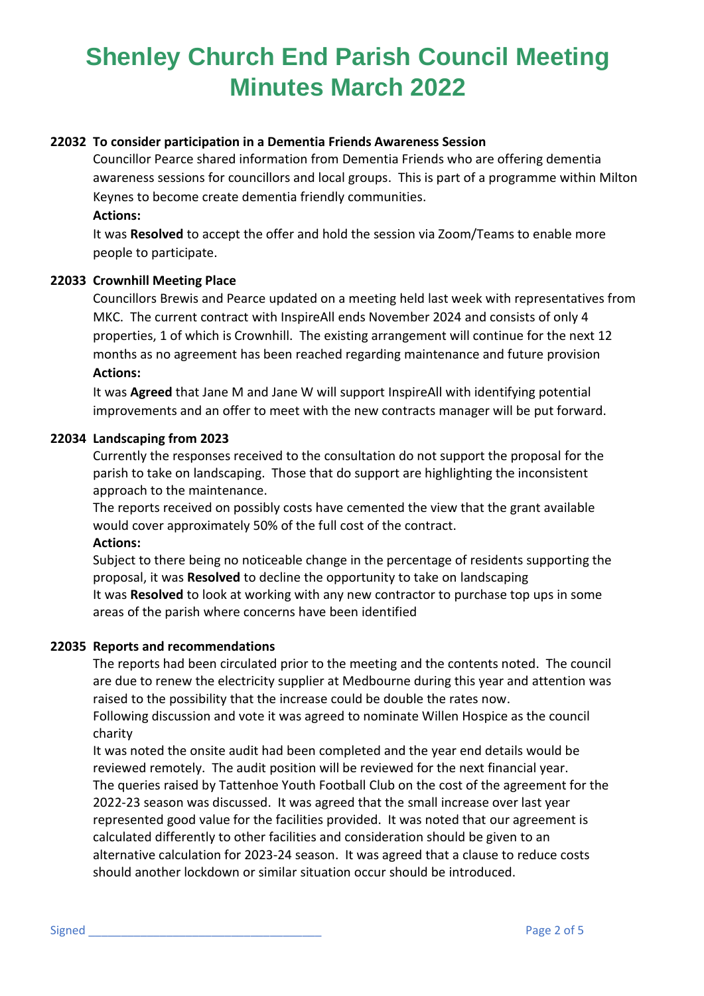# **22032 To consider participation in a Dementia Friends Awareness Session**

Councillor Pearce shared information from Dementia Friends who are offering dementia awareness sessions for councillors and local groups. This is part of a programme within Milton Keynes to become create dementia friendly communities.

#### **Actions:**

It was **Resolved** to accept the offer and hold the session via Zoom/Teams to enable more people to participate.

#### **22033 Crownhill Meeting Place**

Councillors Brewis and Pearce updated on a meeting held last week with representatives from MKC. The current contract with InspireAll ends November 2024 and consists of only 4 properties, 1 of which is Crownhill. The existing arrangement will continue for the next 12 months as no agreement has been reached regarding maintenance and future provision **Actions:**

It was **Agreed** that Jane M and Jane W will support InspireAll with identifying potential improvements and an offer to meet with the new contracts manager will be put forward.

#### **22034 Landscaping from 2023**

Currently the responses received to the consultation do not support the proposal for the parish to take on landscaping. Those that do support are highlighting the inconsistent approach to the maintenance.

The reports received on possibly costs have cemented the view that the grant available would cover approximately 50% of the full cost of the contract. **Actions:**

Subject to there being no noticeable change in the percentage of residents supporting the proposal, it was **Resolved** to decline the opportunity to take on landscaping It was **Resolved** to look at working with any new contractor to purchase top ups in some areas of the parish where concerns have been identified

# **22035 Reports and recommendations**

The reports had been circulated prior to the meeting and the contents noted. The council are due to renew the electricity supplier at Medbourne during this year and attention was raised to the possibility that the increase could be double the rates now.

Following discussion and vote it was agreed to nominate Willen Hospice as the council charity

It was noted the onsite audit had been completed and the year end details would be reviewed remotely. The audit position will be reviewed for the next financial year. The queries raised by Tattenhoe Youth Football Club on the cost of the agreement for the 2022-23 season was discussed. It was agreed that the small increase over last year represented good value for the facilities provided. It was noted that our agreement is calculated differently to other facilities and consideration should be given to an alternative calculation for 2023-24 season. It was agreed that a clause to reduce costs should another lockdown or similar situation occur should be introduced.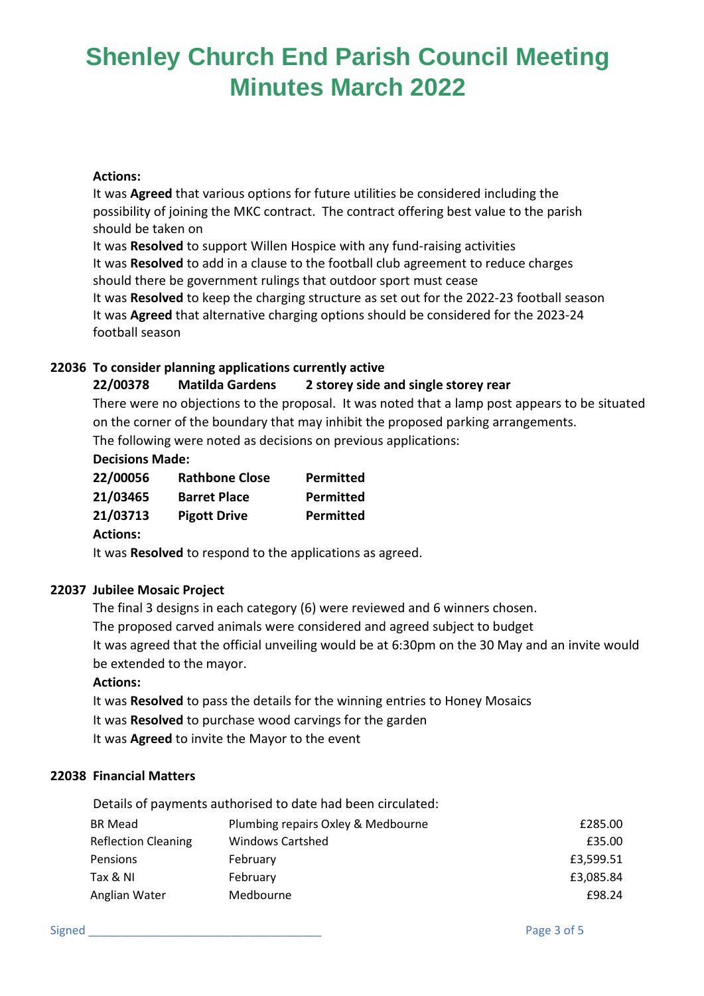#### **Actions:**

It was **Agreed** that various options for future utilities be considered including the possibility of joining the MKC contract. The contract offering best value to the parish should be taken on

It was **Resolved** to support Willen Hospice with any fund-raising activities It was **Resolved** to add in a clause to the football club agreement to reduce charges should there be government rulings that outdoor sport must cease It was **Resolved** to keep the charging structure as set out for the 2022-23 football season

It was **Agreed** that alternative charging options should be considered for the 2023-24 football season

# **22036 To consider planning applications currently active**

# **22/00378 Matilda Gardens 2 storey side and single storey rear**

There were no objections to the proposal. It was noted that a lamp post appears to be situated on the corner of the boundary that may inhibit the proposed parking arrangements.

The following were noted as decisions on previous applications:

# **Decisions Made:**

| 22/00056 | <b>Rathbone Close</b> | Permitted        |
|----------|-----------------------|------------------|
| 21/03465 | <b>Barret Place</b>   | <b>Permitted</b> |
| 21/03713 | <b>Pigott Drive</b>   | <b>Permitted</b> |

# **Actions:**

It was **Resolved** to respond to the applications as agreed.

# **22037 Jubilee Mosaic Project**

The final 3 designs in each category (6) were reviewed and 6 winners chosen. The proposed carved animals were considered and agreed subject to budget It was agreed that the official unveiling would be at 6:30pm on the 30 May and an invite would be extended to the mayor.

#### **Actions:**

It was **Resolved** to pass the details for the winning entries to Honey Mosaics It was **Resolved** to purchase wood carvings for the garden It was **Agreed** to invite the Mayor to the event

# **22038 Financial Matters**

|                            | Details of payments authorised to date had been circulated: |           |
|----------------------------|-------------------------------------------------------------|-----------|
| BR Mead                    | Plumbing repairs Oxley & Medbourne                          | £285.00   |
| <b>Reflection Cleaning</b> | <b>Windows Cartshed</b>                                     | £35.00    |
| Pensions                   | February                                                    | £3,599.51 |
| Tax & NI                   | February                                                    | £3,085.84 |
| Anglian Water              | Medbourne                                                   | £98.24    |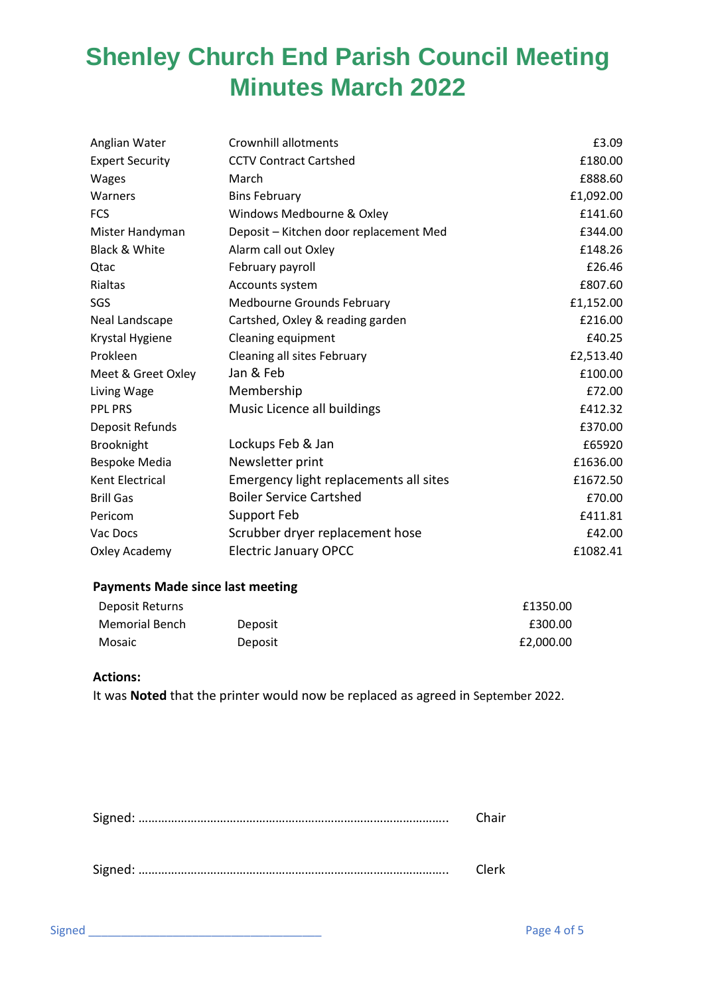| Anglian Water          | Crownhill allotments                   | £3.09     |
|------------------------|----------------------------------------|-----------|
| <b>Expert Security</b> | <b>CCTV Contract Cartshed</b>          | £180.00   |
| Wages                  | March                                  | £888.60   |
| Warners                | <b>Bins February</b>                   | £1,092.00 |
| <b>FCS</b>             | Windows Medbourne & Oxley              | £141.60   |
| Mister Handyman        | Deposit - Kitchen door replacement Med | £344.00   |
| Black & White          | Alarm call out Oxley                   | £148.26   |
| Qtac                   | February payroll                       | £26.46    |
| Rialtas                | Accounts system                        | £807.60   |
| SGS                    | Medbourne Grounds February             | £1,152.00 |
| Neal Landscape         | Cartshed, Oxley & reading garden       | £216.00   |
| Krystal Hygiene        | Cleaning equipment                     | £40.25    |
| Prokleen               | Cleaning all sites February            | £2,513.40 |
| Meet & Greet Oxley     | Jan & Feb                              | £100.00   |
| Living Wage            | Membership                             | £72.00    |
| <b>PPL PRS</b>         | Music Licence all buildings            | £412.32   |
| Deposit Refunds        |                                        | £370.00   |
| Brooknight             | Lockups Feb & Jan                      | £65920    |
| Bespoke Media          | Newsletter print                       | £1636.00  |
| Kent Electrical        | Emergency light replacements all sites | £1672.50  |
| <b>Brill Gas</b>       | <b>Boiler Service Cartshed</b>         | £70.00    |
| Pericom                | Support Feb                            | £411.81   |
| Vac Docs               | Scrubber dryer replacement hose        | £42.00    |
| Oxley Academy          | <b>Electric January OPCC</b>           | £1082.41  |

#### **Payments Made since last meeting**

| Deposit Returns |         | £1350.00  |
|-----------------|---------|-----------|
| Memorial Bench  | Deposit | £300.00   |
| Mosaic          | Deposit | £2,000.00 |

#### **Actions:**

It was **Noted** that the printer would now be replaced as agreed in September 2022.

|  | Clerk |  |
|--|-------|--|